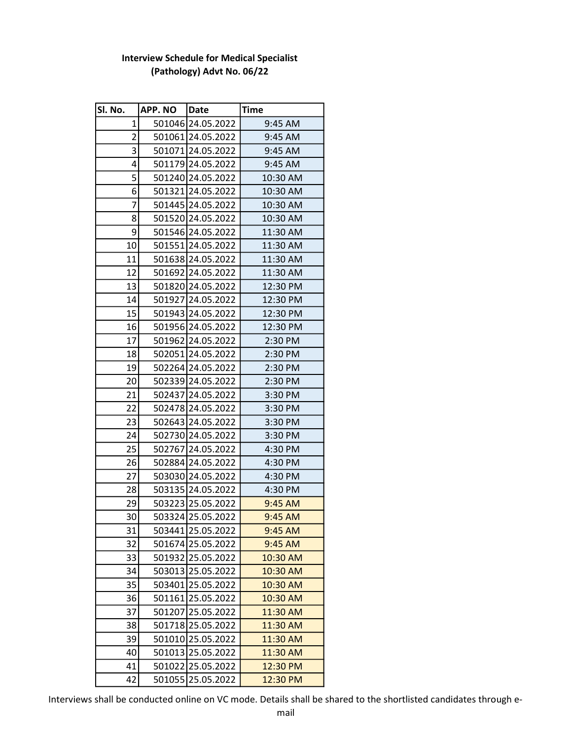| Sl. No.         | APP. NO Date |                   | Time      |
|-----------------|--------------|-------------------|-----------|
| $\overline{1}$  |              | 501046 24.05.2022 | 9:45 AM   |
| $\overline{2}$  |              | 501061 24.05.2022 | 9:45 AM   |
| 3               |              | 501071 24.05.2022 | 9:45 AM   |
| 4               |              | 501179 24.05.2022 | 9:45 AM   |
| 5               |              | 501240 24.05.2022 | 10:30 AM  |
| 6               |              | 501321 24.05.2022 | 10:30 AM  |
| 7               |              | 501445 24.05.2022 | 10:30 AM  |
| 8               |              | 501520 24.05.2022 | 10:30 AM  |
| 9               |              | 501546 24.05.2022 | 11:30 AM  |
| 10              |              | 501551 24.05.2022 | 11:30 AM  |
| 11              |              | 501638 24.05.2022 | 11:30 AM  |
| 12              |              | 501692 24.05.2022 | 11:30 AM  |
| 13              |              | 501820 24.05.2022 | 12:30 PM  |
| 14              |              | 501927 24.05.2022 | 12:30 PM  |
| 15              |              | 501943 24.05.2022 | 12:30 PM  |
| 16              |              | 501956 24.05.2022 | 12:30 PM  |
| 17              |              | 501962 24.05.2022 | 2:30 PM   |
| 18              |              | 502051 24.05.2022 | 2:30 PM   |
| 19              |              | 502264 24.05.2022 | 2:30 PM   |
| 20 <sub>2</sub> |              | 502339 24.05.2022 | 2:30 PM   |
| 21              |              | 502437 24.05.2022 | 3:30 PM   |
| 22              |              | 502478 24.05.2022 | 3:30 PM   |
| 23              |              | 502643 24.05.2022 | 3:30 PM   |
| 24              |              | 502730 24.05.2022 | 3:30 PM   |
| 25              |              | 502767 24.05.2022 | 4:30 PM   |
| 26              |              | 502884 24.05.2022 | 4:30 PM   |
| 27              |              | 503030 24.05.2022 | 4:30 PM   |
| 28              |              | 503135 24.05.2022 | 4:30 PM   |
| 29              |              | 503223 25.05.2022 | $9:45$ AM |
| 30              |              | 503324 25.05.2022 | 9:45 AM   |
| 31              |              | 503441 25.05.2022 | 9:45 AM   |
| 32              |              | 501674 25.05.2022 | 9:45 AM   |
| 33              |              | 501932 25.05.2022 | 10:30 AM  |
| 34              |              | 503013 25.05.2022 | 10:30 AM  |
| 35              |              | 503401 25.05.2022 | 10:30 AM  |
| 36              |              | 501161 25.05.2022 | 10:30 AM  |
| 37              |              | 501207 25.05.2022 | 11:30 AM  |
| 38              |              | 501718 25.05.2022 | 11:30 AM  |
| 39              |              | 501010 25.05.2022 | 11:30 AM  |
| 40              |              | 501013 25.05.2022 | 11:30 AM  |
| 41              |              | 501022 25.05.2022 | 12:30 PM  |
| 42              | 501055       | 25.05.2022        | 12:30 PM  |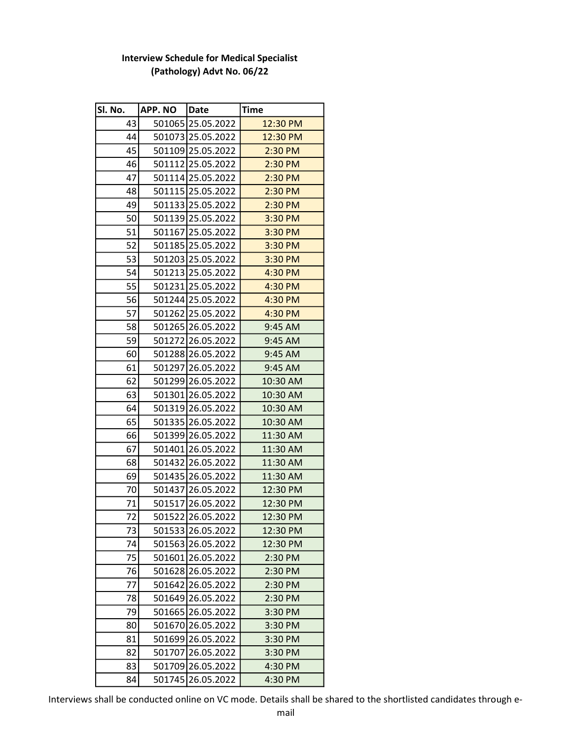| Sl. No. | <b>APP. NO</b> | Date              | <b>Time</b> |
|---------|----------------|-------------------|-------------|
| 43      |                | 501065 25.05.2022 | 12:30 PM    |
| 44      |                | 501073 25.05.2022 | 12:30 PM    |
| 45      |                | 501109 25.05.2022 | 2:30 PM     |
| 46      |                | 501112 25.05.2022 | 2:30 PM     |
| 47      |                | 501114 25.05.2022 | 2:30 PM     |
| 48      |                | 501115 25.05.2022 | $2:30$ PM   |
| 49      |                | 501133 25.05.2022 | $2:30$ PM   |
| 50      |                | 501139 25.05.2022 | 3:30 PM     |
| 51      |                | 501167 25.05.2022 | 3:30 PM     |
| 52      |                | 501185 25.05.2022 | 3:30 PM     |
| 53      |                | 501203 25.05.2022 | 3:30 PM     |
| 54      |                | 501213 25.05.2022 | 4:30 PM     |
| 55      |                | 501231 25.05.2022 | 4:30 PM     |
| 56      |                | 501244 25.05.2022 | 4:30 PM     |
| 57      |                | 501262 25.05.2022 | 4:30 PM     |
| 58      |                | 501265 26.05.2022 | 9:45 AM     |
| 59      |                | 501272 26.05.2022 | 9:45 AM     |
| 60      |                | 501288 26.05.2022 | 9:45 AM     |
| 61      |                | 501297 26.05.2022 | 9:45 AM     |
| 62      |                | 501299 26.05.2022 | 10:30 AM    |
| 63      |                | 501301 26.05.2022 | 10:30 AM    |
| 64      |                | 501319 26.05.2022 | 10:30 AM    |
| 65      |                | 501335 26.05.2022 | 10:30 AM    |
| 66      |                | 501399 26.05.2022 | 11:30 AM    |
| 67      |                | 501401 26.05.2022 | 11:30 AM    |
| 68      |                | 501432 26.05.2022 | 11:30 AM    |
| 69      |                | 501435 26.05.2022 | 11:30 AM    |
| 70      |                | 501437 26.05.2022 | 12:30 PM    |
| 71      |                | 501517 26.05.2022 | 12:30 PM    |
| 72      |                | 501522 26.05.2022 | 12:30 PM    |
| 73      |                | 501533 26.05.2022 | 12:30 PM    |
| 74      |                | 501563 26.05.2022 | 12:30 PM    |
| 75      |                | 501601 26.05.2022 | 2:30 PM     |
| 76      |                | 501628 26.05.2022 | 2:30 PM     |
| 77      |                | 501642 26.05.2022 | 2:30 PM     |
| 78      |                | 501649 26.05.2022 | 2:30 PM     |
| 79      |                | 501665 26.05.2022 | 3:30 PM     |
| 80      |                | 501670 26.05.2022 | 3:30 PM     |
| 81      |                | 501699 26.05.2022 | 3:30 PM     |
| 82      |                | 501707 26.05.2022 | 3:30 PM     |
| 83      |                | 501709 26.05.2022 | 4:30 PM     |
| 84      |                | 501745 26.05.2022 | 4:30 PM     |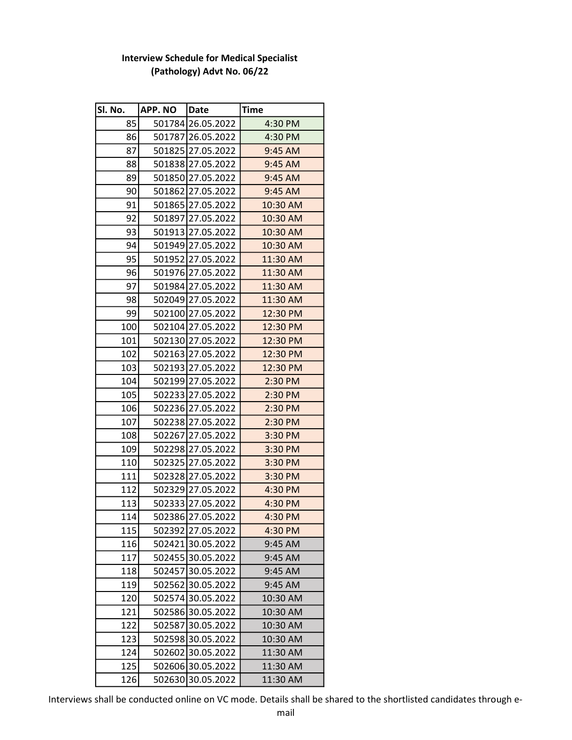| Sl. No. | <b>APP.NO</b> | Date              | Time      |
|---------|---------------|-------------------|-----------|
| 85      |               | 501784 26.05.2022 | 4:30 PM   |
| 86      |               | 501787 26.05.2022 | 4:30 PM   |
| 87      |               | 501825 27.05.2022 | 9:45 AM   |
| 88      |               | 501838 27.05.2022 | 9:45 AM   |
| 89      |               | 501850 27.05.2022 | $9:45$ AM |
| 90      |               | 501862 27.05.2022 | 9:45 AM   |
| 91      |               | 501865 27.05.2022 | 10:30 AM  |
| 92      |               | 501897 27.05.2022 | 10:30 AM  |
| 93      |               | 501913 27.05.2022 | 10:30 AM  |
| 94      |               | 501949 27.05.2022 | 10:30 AM  |
| 95      |               | 501952 27.05.2022 | 11:30 AM  |
| 96      |               | 501976 27.05.2022 | 11:30 AM  |
| 97      |               | 501984 27.05.2022 | 11:30 AM  |
| 98      |               | 502049 27.05.2022 | 11:30 AM  |
| 99      |               | 502100 27.05.2022 | 12:30 PM  |
| 100     |               | 502104 27.05.2022 | 12:30 PM  |
| 101     |               | 502130 27.05.2022 | 12:30 PM  |
| 102     |               | 502163 27.05.2022 | 12:30 PM  |
| 103     |               | 502193 27.05.2022 | 12:30 PM  |
| 104     |               | 502199 27.05.2022 | 2:30 PM   |
| 105     |               | 502233 27.05.2022 | 2:30 PM   |
| 106     |               | 502236 27.05.2022 | 2:30 PM   |
| 107     |               | 502238 27.05.2022 | 2:30 PM   |
| 108     |               | 502267 27.05.2022 | 3:30 PM   |
| 109     |               | 502298 27.05.2022 | 3:30 PM   |
| 110     |               | 502325 27.05.2022 | 3:30 PM   |
| 111     |               | 502328 27.05.2022 | 3:30 PM   |
| 112     |               | 502329 27.05.2022 | 4:30 PM   |
| 113     |               | 502333 27.05.2022 | 4:30 PM   |
| 114     |               | 502386 27.05.2022 | 4:30 PM   |
| 115     |               | 502392 27.05.2022 | 4:30 PM   |
| 116     |               | 502421 30.05.2022 | 9:45 AM   |
| 117     |               | 502455 30.05.2022 | 9:45 AM   |
| 118     |               | 502457 30.05.2022 | 9:45 AM   |
| 119     |               | 502562 30.05.2022 | 9:45 AM   |
| 120     |               | 502574 30.05.2022 | 10:30 AM  |
| 121     |               | 502586 30.05.2022 | 10:30 AM  |
| 122     |               | 502587 30.05.2022 | 10:30 AM  |
| 123     |               | 502598 30.05.2022 | 10:30 AM  |
| 124     |               | 502602 30.05.2022 | 11:30 AM  |
| 125     |               | 502606 30.05.2022 | 11:30 AM  |
| 126     |               | 502630 30.05.2022 | 11:30 AM  |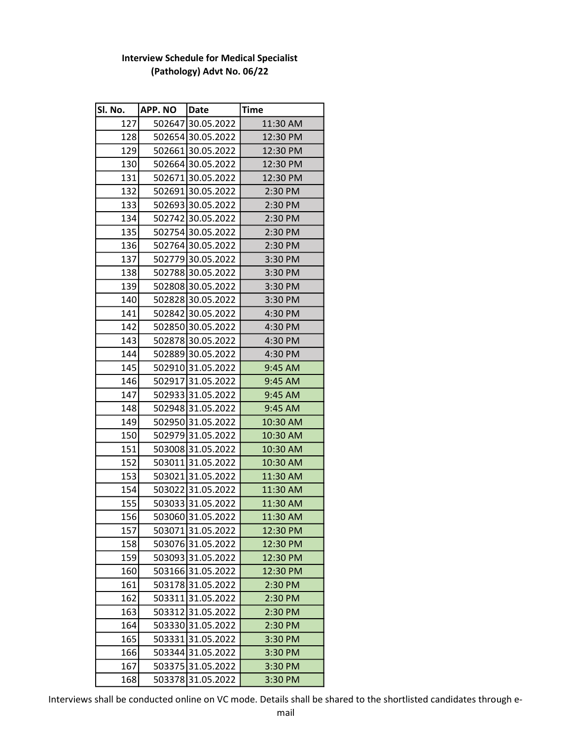| Sl. No. | <b>APP.NO</b> | Date              | Time      |
|---------|---------------|-------------------|-----------|
| 127     |               | 502647 30.05.2022 | 11:30 AM  |
| 128     |               | 502654 30.05.2022 | 12:30 PM  |
| 129     |               | 502661 30.05.2022 | 12:30 PM  |
| 130     |               | 502664 30.05.2022 | 12:30 PM  |
| 131     |               | 502671 30.05.2022 | 12:30 PM  |
| 132     |               | 502691 30.05.2022 | 2:30 PM   |
| 133     |               | 502693 30.05.2022 | 2:30 PM   |
| 134     |               | 502742 30.05.2022 | 2:30 PM   |
| 135     |               | 502754 30.05.2022 | 2:30 PM   |
| 136     |               | 502764 30.05.2022 | 2:30 PM   |
| 137     |               | 502779 30.05.2022 | 3:30 PM   |
| 138     |               | 502788 30.05.2022 | 3:30 PM   |
| 139     |               | 502808 30.05.2022 | 3:30 PM   |
| 140     |               | 502828 30.05.2022 | 3:30 PM   |
| 141     |               | 502842 30.05.2022 | 4:30 PM   |
| 142     |               | 502850 30.05.2022 | 4:30 PM   |
| 143     |               | 502878 30.05.2022 | 4:30 PM   |
| 144     |               | 502889 30.05.2022 | 4:30 PM   |
| 145     |               | 502910 31.05.2022 | $9:45$ AM |
| 146     |               | 502917 31.05.2022 | 9:45 AM   |
| 147     |               | 502933 31.05.2022 | $9:45$ AM |
| 148     |               | 502948 31.05.2022 | $9:45$ AM |
| 149     |               | 502950 31.05.2022 | 10:30 AM  |
| 150     |               | 502979 31.05.2022 | 10:30 AM  |
| 151     |               | 503008 31.05.2022 | 10:30 AM  |
| 152     |               | 503011 31.05.2022 | 10:30 AM  |
| 153     |               | 50302131.05.2022  | 11:30 AM  |
| 154     |               | 50302231.05.2022  | 11:30 AM  |
| 155     |               | 50303331.05.2022  | 11:30 AM  |
| 156     |               | 50306031.05.2022  | 11:30 AM  |
| 157     |               | 503071 31.05.2022 | 12:30 PM  |
| 158     |               | 50307631.05.2022  | 12:30 PM  |
| 159     |               | 503093 31.05.2022 | 12:30 PM  |
| 160     |               | 503166 31.05.2022 | 12:30 PM  |
| 161     |               | 50317831.05.2022  | 2:30 PM   |
| 162     |               | 503311 31.05.2022 | 2:30 PM   |
| 163     |               | 503312 31.05.2022 | 2:30 PM   |
| 164     |               | 503330 31.05.2022 | 2:30 PM   |
| 165     |               | 50333131.05.2022  | 3:30 PM   |
| 166     |               | 503344 31.05.2022 | 3:30 PM   |
| 167     |               | 503375 31.05.2022 | 3:30 PM   |
| 168     |               | 50337831.05.2022  | 3:30 PM   |